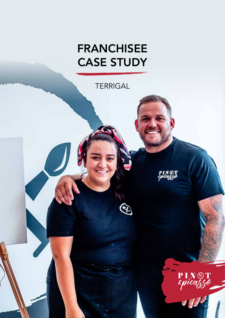# FRANCHISEE CASE STUDY

**TERRIGAL** 

PIN®T<br>spicaggo

PIN<sup>®</sup>T

 $\overline{11}$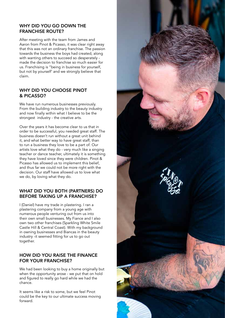#### WHY DID YOU GO DOWN THE FRANCHISE ROUTE?

After meeting with the team from James and Aaron from Pinot & Picasso, it was clear right away that this was not an ordinary franchise. The passion towards the business the boys had created, along with wanting others to succeed so desperately made the decision to franchise so much easier for us. Franchising is "being in business for yourself, but not by yourself' and we strongly believe that claim.

## WHY DID YOU CHOOSE PINOT & PICASSO?

We have run numerous businesses previously. From the building industry to the beauty industry and now finally within what I believe to be the strongest industry - the creative arts.

Over the years it has become clear to us that in order to be successful, you needed great staff. The business doesn't run without a great unit behind it, and what better way to have great staff, than to run a business they love to be a part of. Our artists love what they do - very much like a singing teacher or dance teacher, ultimately it is something they have loved since they were children. Pinot & Picasso has allowed us to implement this belief, and thus far we could not be more right with the decision. Our staff have allowed us to love what we do, by loving what they do.

## WHAT DID YOU BOTH (PARTNERS) DO BEFORE TAKING UP A FRANCHISE?

I (Daniel) have my trade in plastering. I ran a plastering company from a young age with numerous people venturing out from us into their own small businesses. My Fiance and I also own two other franchises (Sparkling White Smile Castle Hill & Central Coast). With my background in owning businesses and Biancas in the beauty industry -it seemed fitting for us to go out together.

## HOW DID YOU RAISE THE FINANCE FOR YOUR FRANCHISE?

We had been looking to buy a home originally but when the opportunity arose - we put that on hold and figured to really go hard while we had the chance.

It seems like a risk to some, but we feel Pinot could be the key to our ultimate success moving forward.

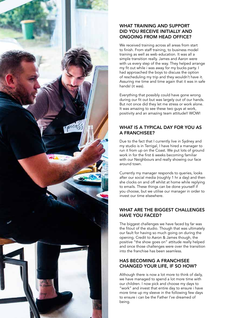

## WHAT TRAINING AND SUPPORT DID YOU RECEIVE INITIALLY AND ONGOING FROM HEAD OFFICE?

We received training across all areas from start to finish. From staff training, to business model training as well as web education. It was all a simple transition really. James and Aaron were with us every step of the way. They helped arrange my fit out while i was away for my bucks party. I had approached the boys to discuss the option of rescheduling my trip and they wouldn't have it. Assuring me time and time again that it was in safe hands! (it was).

Everything that possibly could have gone wrong during our fit out but was largely out of our hands. But not once did they let me stress or work alone. It was amazing to see these two guys at work, positivity and an amazing team attitude!! WOW!

## WHAT IS A TYPICAL DAY FOR YOU AS A FRANCHISEE?

Due to the fact that I currently live in Sydney and my studio is in Terrigal, I have hired a manager to run it from up on the Coast. We put lots of ground work in for the first 6 weeks becoming familiar with our Neighbours and really showing our face around town.

Currently my manager responds to queries, looks after our social media (roughly 1 hr a day) and then she clocks on and off whilst at home while replying to emails. These things can be done yourself if you choose, but we utilise our manager in order to invest our time elsewhere.

# WHAT ARE THE BIGGEST CHALLENGES HAVE YOU FACED?

The biggest challenges we have faced by far was the fitout of the studio. Though that was ultimately our fault for having so much going on during the opening. Credit to Aaron & James though, the positive "the show goes on" attitude really helped and once those challenges were over the transition into the franchise has been seamless.

# HAS BECOMING A FRANCHISEE CHANGED YOUR LIFE, IF SO HOW?

Although there is now a lot more to think of daily, we have managed to spend a lot more time with our children. I now pick and choose my days to "work" and invest that entire day to ensure i have more time up my sleeve in the following few days to ensure i can be the Father I've dreamed of being.